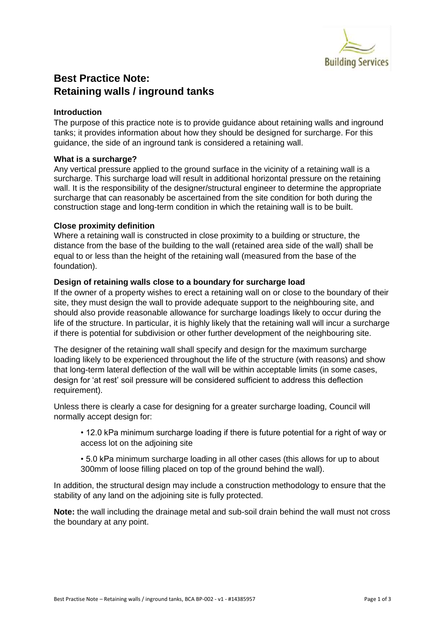

# **Best Practice Note: Retaining walls / inground tanks**

## **Introduction**

The purpose of this practice note is to provide guidance about retaining walls and inground tanks; it provides information about how they should be designed for surcharge. For this guidance, the side of an inground tank is considered a retaining wall.

## **What is a surcharge?**

Any vertical pressure applied to the ground surface in the vicinity of a retaining wall is a surcharge. This surcharge load will result in additional horizontal pressure on the retaining wall. It is the responsibility of the designer/structural engineer to determine the appropriate surcharge that can reasonably be ascertained from the site condition for both during the construction stage and long-term condition in which the retaining wall is to be built.

## **Close proximity definition**

Where a retaining wall is constructed in close proximity to a building or structure, the distance from the base of the building to the wall (retained area side of the wall) shall be equal to or less than the height of the retaining wall (measured from the base of the foundation).

## **Design of retaining walls close to a boundary for surcharge load**

If the owner of a property wishes to erect a retaining wall on or close to the boundary of their site, they must design the wall to provide adequate support to the neighbouring site, and should also provide reasonable allowance for surcharge loadings likely to occur during the life of the structure. In particular, it is highly likely that the retaining wall will incur a surcharge if there is potential for subdivision or other further development of the neighbouring site.

The designer of the retaining wall shall specify and design for the maximum surcharge loading likely to be experienced throughout the life of the structure (with reasons) and show that long-term lateral deflection of the wall will be within acceptable limits (in some cases, design for 'at rest' soil pressure will be considered sufficient to address this deflection requirement).

Unless there is clearly a case for designing for a greater surcharge loading, Council will normally accept design for:

• 12.0 kPa minimum surcharge loading if there is future potential for a right of way or access lot on the adjoining site

• 5.0 kPa minimum surcharge loading in all other cases (this allows for up to about 300mm of loose filling placed on top of the ground behind the wall).

In addition, the structural design may include a construction methodology to ensure that the stability of any land on the adjoining site is fully protected.

**Note:** the wall including the drainage metal and sub-soil drain behind the wall must not cross the boundary at any point.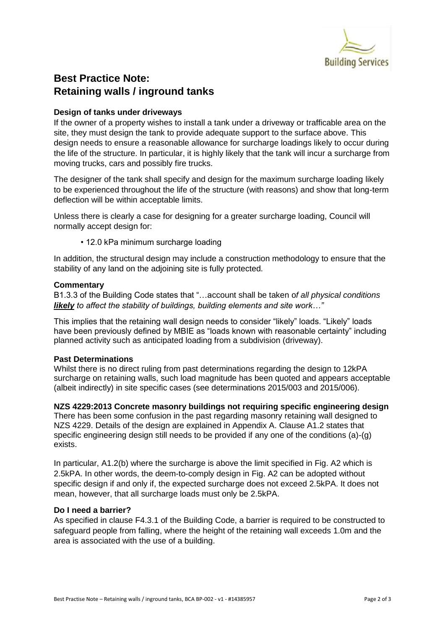

# **Best Practice Note: Retaining walls / inground tanks**

## **Design of tanks under driveways**

If the owner of a property wishes to install a tank under a driveway or trafficable area on the site, they must design the tank to provide adequate support to the surface above. This design needs to ensure a reasonable allowance for surcharge loadings likely to occur during the life of the structure. In particular, it is highly likely that the tank will incur a surcharge from moving trucks, cars and possibly fire trucks.

The designer of the tank shall specify and design for the maximum surcharge loading likely to be experienced throughout the life of the structure (with reasons) and show that long-term deflection will be within acceptable limits.

Unless there is clearly a case for designing for a greater surcharge loading, Council will normally accept design for:

• 12.0 kPa minimum surcharge loading

In addition, the structural design may include a construction methodology to ensure that the stability of any land on the adjoining site is fully protected.

#### **Commentary**

B1.3.3 of the Building Code states that "…account shall be taken o*f all physical conditions likely to affect the stability of buildings, building elements and site work…"*

This implies that the retaining wall design needs to consider "likely" loads. "Likely" loads have been previously defined by MBIE as "loads known with reasonable certainty" including planned activity such as anticipated loading from a subdivision (driveway).

## **Past Determinations**

Whilst there is no direct ruling from past determinations regarding the design to 12kPA surcharge on retaining walls, such load magnitude has been quoted and appears acceptable (albeit indirectly) in site specific cases (see determinations 2015/003 and 2015/006).

**NZS 4229:2013 Concrete masonry buildings not requiring specific engineering design**  There has been some confusion in the past regarding masonry retaining wall designed to NZS 4229. Details of the design are explained in Appendix A. Clause A1.2 states that specific engineering design still needs to be provided if any one of the conditions (a)-(g) exists.

In particular, A1.2(b) where the surcharge is above the limit specified in Fig. A2 which is 2.5kPA. In other words, the deem-to-comply design in Fig. A2 can be adopted without specific design if and only if, the expected surcharge does not exceed 2.5kPA. It does not mean, however, that all surcharge loads must only be 2.5kPA.

#### **Do I need a barrier?**

As specified in clause F4.3.1 of the Building Code, a barrier is required to be constructed to safeguard people from falling, where the height of the retaining wall exceeds 1.0m and the area is associated with the use of a building.